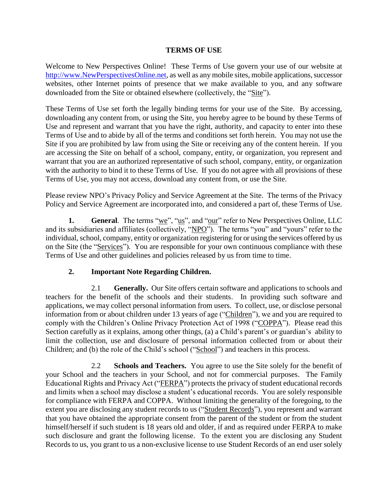#### **TERMS OF USE**

Welcome to New Perspectives Online! These Terms of Use govern your use of our website at [http://www.NewPerspectivesOnline.net,](http://www.newperspectivesonline.net/) as well as any mobile sites, mobile applications, successor websites, other Internet points of presence that we make available to you, and any software downloaded from the Site or obtained elsewhere (collectively, the "Site").

These Terms of Use set forth the legally binding terms for your use of the Site. By accessing, downloading any content from, or using the Site, you hereby agree to be bound by these Terms of Use and represent and warrant that you have the right, authority, and capacity to enter into these Terms of Use and to abide by all of the terms and conditions set forth herein. You may not use the Site if you are prohibited by law from using the Site or receiving any of the content herein. If you are accessing the Site on behalf of a school, company, entity, or organization, you represent and warrant that you are an authorized representative of such school, company, entity, or organization with the authority to bind it to these Terms of Use. If you do not agree with all provisions of these Terms of Use, you may not access, download any content from, or use the Site.

Please review NPO's Privacy Policy and Service Agreement at the Site. The terms of the Privacy Policy and Service Agreement are incorporated into, and considered a part of, these Terms of Use.

**1. General**. The terms "we", "us", and "our" refer to New Perspectives Online, LLC and its subsidiaries and affiliates (collectively, "NPO"). The terms "you" and "yours" refer to the individual, school, company, entity or organization registering for or using the services offered by us on the Site (the "Services"). You are responsible for your own continuous compliance with these Terms of Use and other guidelines and policies released by us from time to time.

## **2. Important Note Regarding Children.**

2.1 **Generally.** Our Site offers certain software and applications to schools and teachers for the benefit of the schools and their students. In providing such software and applications, we may collect personal information from users. To collect, use, or disclose personal information from or about children under 13 years of age ("Children"), we and you are required to comply with the Children's Online Privacy Protection Act of 1998 ("COPPA"). Please read this Section carefully as it explains, among other things, (a) a Child's parent's or guardian's ability to limit the collection, use and disclosure of personal information collected from or about their Children; and (b) the role of the Child's school ("School") and teachers in this process.

2.2 **Schools and Teachers.** You agree to use the Site solely for the benefit of your School and the teachers in your School, and not for commercial purposes. The Family Educational Rights and Privacy Act ("FERPA") protects the privacy of student educational records and limits when a school may disclose a student's educational records. You are solely responsible for compliance with FERPA and COPPA. Without limiting the generality of the foregoing, to the extent you are disclosing any student records to us ("Student Records"), you represent and warrant that you have obtained the appropriate consent from the parent of the student or from the student himself/herself if such student is 18 years old and older, if and as required under FERPA to make such disclosure and grant the following license. To the extent you are disclosing any Student Records to us, you grant to us a non-exclusive license to use Student Records of an end user solely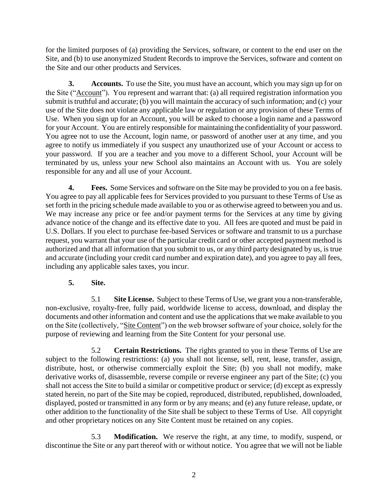for the limited purposes of (a) providing the Services, software, or content to the end user on the Site, and (b) to use anonymized Student Records to improve the Services, software and content on the Site and our other products and Services.

**3. Accounts.** To use the Site, you must have an account, which you may sign up for on the Site ("Account"). You represent and warrant that: (a) all required registration information you submit is truthful and accurate; (b) you will maintain the accuracy of such information; and (c) your use of the Site does not violate any applicable law or regulation or any provision of these Terms of Use. When you sign up for an Account, you will be asked to choose a login name and a password for your Account. You are entirely responsible for maintaining the confidentiality of your password. You agree not to use the Account, login name, or password of another user at any time, and you agree to notify us immediately if you suspect any unauthorized use of your Account or access to your password. If you are a teacher and you move to a different School, your Account will be terminated by us, unless your new School also maintains an Account with us. You are solely responsible for any and all use of your Account.

**4. Fees.** Some Services and software on the Site may be provided to you on a fee basis. You agree to pay all applicable fees for Services provided to you pursuant to these Terms of Use as set forth in the pricing schedule made available to you or as otherwise agreed to between you and us. We may increase any price or fee and/or payment terms for the Services at any time by giving advance notice of the change and its effective date to you. All fees are quoted and must be paid in U.S. Dollars. If you elect to purchase fee-based Services or software and transmit to us a purchase request, you warrant that your use of the particular credit card or other accepted payment method is authorized and that all information that you submit to us, or any third party designated by us, is true and accurate (including your credit card number and expiration date), and you agree to pay all fees, including any applicable sales taxes, you incur.

## **5. Site.**

5.1 **Site License.** Subject to these Terms of Use, we grant you a non-transferable, non-exclusive, royalty-free, fully paid, worldwide license to access, download, and display the documents and other information and content and use the applications that we make available to you on the Site (collectively, "Site Content") on the web browser software of your choice, solely for the purpose of reviewing and learning from the Site Content for your personal use.

5.2 **Certain Restrictions.** The rights granted to you in these Terms of Use are subject to the following restrictions: (a) you shall not license, sell, rent, lease, transfer, assign, distribute, host, or otherwise commercially exploit the Site; (b) you shall not modify, make derivative works of, disassemble, reverse compile or reverse engineer any part of the Site; (c) you shall not access the Site to build a similar or competitive product or service; (d) except as expressly stated herein, no part of the Site may be copied, reproduced, distributed, republished, downloaded, displayed, posted or transmitted in any form or by any means; and (e) any future release, update, or other addition to the functionality of the Site shall be subject to these Terms of Use. All copyright and other proprietary notices on any Site Content must be retained on any copies.

5.3 **Modification.** We reserve the right, at any time, to modify, suspend, or discontinue the Site or any part thereof with or without notice. You agree that we will not be liable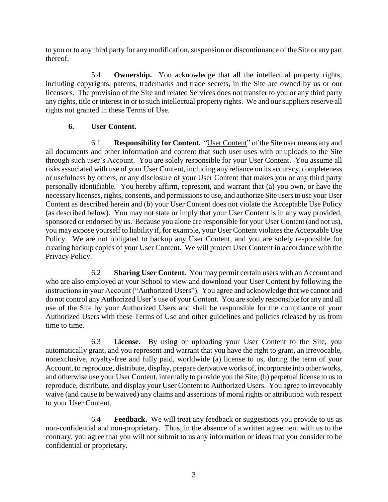to you or to any third party for any modification, suspension or discontinuance of the Site or any part thereof.

5.4 **Ownership.** You acknowledge that all the intellectual property rights, including copyrights, patents, trademarks and trade secrets, in the Site are owned by us or our licensors. The provision of the Site and related Services does not transfer to you or any third party any rights, title or interest in or to such intellectual property rights. We and oursuppliers reserve all rights not granted in these Terms of Use.

#### **6. User Content.**

6.1 **Responsibility for Content.** "User Content" of the Site user means any and all documents and other information and content that such user uses with or uploads to the Site through such user's Account. You are solely responsible for your User Content. You assume all risks associated with use of your User Content, including any reliance on its accuracy, completeness or usefulness by others, or any disclosure of your User Content that makes you or any third party personally identifiable. You hereby affirm, represent, and warrant that (a) you own, or have the necessary licenses, rights, consents, and permissions to use, and authorize Site users to use your User Content as described herein and (b) your User Content does not violate the Acceptable Use Policy (as described below). You may not state or imply that your User Content is in any way provided, sponsored or endorsed by us. Because you alone are responsible for your User Content (and not us), you may expose yourself to liability if, for example, your User Content violates the Acceptable Use Policy. We are not obligated to backup any User Content, and you are solely responsible for creating backup copies of your User Content. We will protect User Content in accordance with the Privacy Policy.

6.2 **Sharing User Content.** You may permit certain users with an Account and who are also employed at your School to view and download your User Content by following the instructions in your Account ("Authorized Users"). You agree and acknowledge that we cannot and do not control any Authorized User's use of your Content. You are solely responsible for any and all use of the Site by your Authorized Users and shall be responsible for the compliance of your Authorized Users with these Terms of Use and other guidelines and policies released by us from time to time.

6.3 **License.** By using or uploading your User Content to the Site, you automatically grant, and you represent and warrant that you have the right to grant, an irrevocable, nonexclusive, royalty-free and fully paid, worldwide (a) license to us, during the term of your Account, to reproduce, distribute, display, prepare derivative works of, incorporate into other works, and otherwise use your User Content, internally to provide you the Site; (b) perpetual license to us to reproduce, distribute, and display your User Content to Authorized Users. You agree to irrevocably waive (and cause to be waived) any claims and assertions of moral rights or attribution with respect to your User Content.

6.4 **Feedback.** We will treat any feedback or suggestions you provide to us as non-confidential and non-proprietary. Thus, in the absence of a written agreement with us to the contrary, you agree that you will not submit to us any information or ideas that you consider to be confidential or proprietary.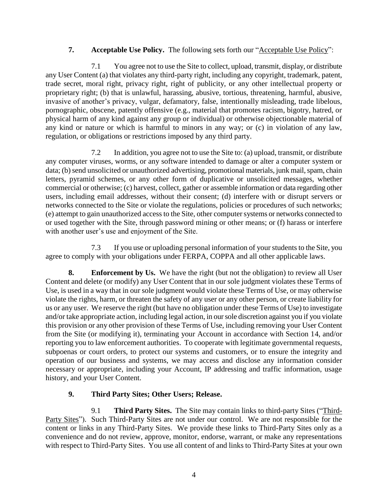## **7. Acceptable Use Policy.** The following sets forth our "Acceptable Use Policy":

7.1 You agree not to use the Site to collect, upload, transmit, display, or distribute any User Content (a) that violates any third-party right, including any copyright, trademark, patent, trade secret, moral right, privacy right, right of publicity, or any other intellectual property or proprietary right; (b) that is unlawful, harassing, abusive, tortious, threatening, harmful, abusive, invasive of another's privacy, vulgar, defamatory, false, intentionally misleading, trade libelous, pornographic, obscene, patently offensive (e.g., material that promotes racism, bigotry, hatred, or physical harm of any kind against any group or individual) or otherwise objectionable material of any kind or nature or which is harmful to minors in any way; or (c) in violation of any law, regulation, or obligations or restrictions imposed by any third party.

7.2 In addition, you agree not to use the Site to: (a) upload, transmit, or distribute any computer viruses, worms, or any software intended to damage or alter a computer system or data; (b) send unsolicited or unauthorized advertising, promotional materials, junk mail, spam, chain letters, pyramid schemes, or any other form of duplicative or unsolicited messages, whether commercial or otherwise; (c) harvest, collect, gather or assemble information or data regarding other users, including email addresses, without their consent; (d) interfere with or disrupt servers or networks connected to the Site or violate the regulations, policies or procedures of such networks; (e) attempt to gain unauthorized access to the Site, other computer systems or networks connected to or used together with the Site, through password mining or other means; or (f) harass or interfere with another user's use and enjoyment of the Site.

7.3 If you use or uploading personal information of your students to the Site, you agree to comply with your obligations under FERPA, COPPA and all other applicable laws.

**8. Enforcement by Us.** We have the right (but not the obligation) to review all User Content and delete (or modify) any User Content that in our sole judgment violates these Terms of Use, is used in a way that in our sole judgment would violate these Terms of Use, or may otherwise violate the rights, harm, or threaten the safety of any user or any other person, or create liability for us or any user. We reserve the right (but have no obligation under these Terms of Use) to investigate and/or take appropriate action, including legal action, in our sole discretion against you if you violate this provision or any other provision of these Terms of Use, including removing your User Content from the Site (or modifying it), terminating your Account in accordance with Section 14, and/or reporting you to law enforcement authorities. To cooperate with legitimate governmental requests, subpoenas or court orders, to protect our systems and customers, or to ensure the integrity and operation of our business and systems, we may access and disclose any information consider necessary or appropriate, including your Account, IP addressing and traffic information, usage history, and your User Content.

# **9. Third Party Sites; Other Users; Release.**

9.1 **Third Party Sites.** The Site may contain links to third-party Sites ("Third-Party Sites"). Such Third-Party Sites are not under our control. We are not responsible for the content or links in any Third-Party Sites. We provide these links to Third-Party Sites only as a convenience and do not review, approve, monitor, endorse, warrant, or make any representations with respect to Third-Party Sites. You use all content of and links to Third-Party Sites at your own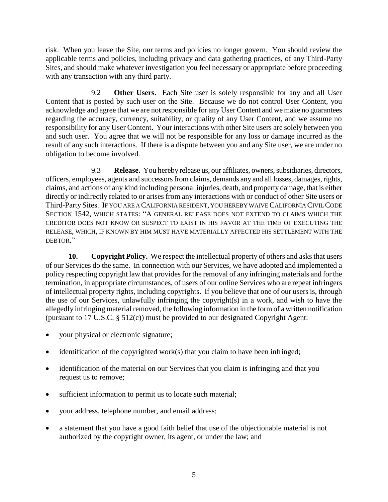risk. When you leave the Site, our terms and policies no longer govern. You should review the applicable terms and policies, including privacy and data gathering practices, of any Third-Party Sites, and should make whatever investigation you feel necessary or appropriate before proceeding with any transaction with any third party.

9.2 **Other Users.** Each Site user is solely responsible for any and all User Content that is posted by such user on the Site. Because we do not control User Content, you acknowledge and agree that we are not responsible for any User Content and we make no guarantees regarding the accuracy, currency, suitability, or quality of any User Content, and we assume no responsibility for any User Content. Your interactions with other Site users are solely between you and such user. You agree that we will not be responsible for any loss or damage incurred as the result of any such interactions. If there is a dispute between you and any Site user, we are under no obligation to become involved.

9.3 **Release.** You hereby release us, our affiliates, owners, subsidiaries, directors, officers, employees, agents and successors from claims, demands any and all losses, damages, rights, claims, and actions of any kind including personal injuries, death, and property damage, that is either directly or indirectly related to or arises from any interactions with or conduct of other Site users or Third-Party Sites. IF YOU ARE A CALIFORNIA RESIDENT, YOU HEREBY WAIVE CALIFORNIA CIVIL CODE SECTION 1542, WHICH STATES: "A GENERAL RELEASE DOES NOT EXTEND TO CLAIMS WHICH THE CREDITOR DOES NOT KNOW OR SUSPECT TO EXIST IN HIS FAVOR AT THE TIME OF EXECUTING THE RELEASE, WHICH, IF KNOWN BY HIM MUST HAVE MATERIALLY AFFECTED HIS SETTLEMENT WITH THE DEBTOR<sup>"</sup>

**10. Copyright Policy.** We respect the intellectual property of others and asks that users of our Services do the same. In connection with our Services, we have adopted and implemented a policy respecting copyright law that provides for the removal of any infringing materials and for the termination, in appropriate circumstances, of users of our online Services who are repeat infringers of intellectual property rights, including copyrights. If you believe that one of our users is, through the use of our Services, unlawfully infringing the copyright(s) in a work, and wish to have the allegedly infringing material removed, the following information in the form of a written notification (pursuant to 17 U.S.C. § 512(c)) must be provided to our designated Copyright Agent:

- your physical or electronic signature;
- $\bullet$  identification of the copyrighted work(s) that you claim to have been infringed;
- identification of the material on our Services that you claim is infringing and that you request us to remove;
- sufficient information to permit us to locate such material;
- your address, telephone number, and email address;
- a statement that you have a good faith belief that use of the objectionable material is not authorized by the copyright owner, its agent, or under the law; and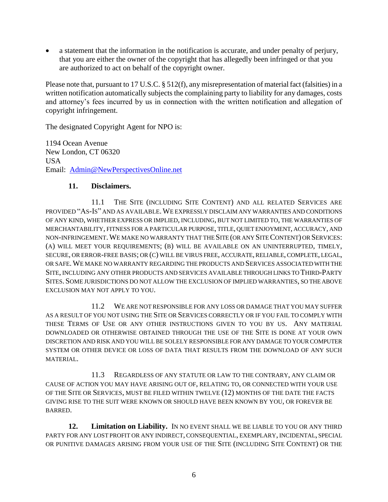a statement that the information in the notification is accurate, and under penalty of perjury, that you are either the owner of the copyright that has allegedly been infringed or that you are authorized to act on behalf of the copyright owner.

Please note that, pursuant to 17 U.S.C. § 512(f), any misrepresentation of material fact (falsities) in a written notification automatically subjects the complaining party to liability for any damages, costs and attorney's fees incurred by us in connection with the written notification and allegation of copyright infringement.

The designated Copyright Agent for NPO is:

1194 Ocean Avenue New London, CT 06320 USA Email: [Admin@NewPerspectivesOnline.net](mailto:admin@newperspectivesonline.net)

#### **11. Disclaimers.**

11.1 THE SITE (INCLUDING SITE CONTENT) AND ALL RELATED SERVICES ARE PROVIDED "AS-IS" AND AS AVAILABLE.WE EXPRESSLY DISCLAIM ANY WARRANTIES AND CONDITIONS OF ANY KIND, WHETHER EXPRESS OR IMPLIED, INCLUDING, BUT NOT LIMITED TO, THE WARRANTIES OF MERCHANTABILITY, FITNESS FOR A PARTICULAR PURPOSE, TITLE, QUIET ENJOYMENT, ACCURACY, AND NON-INFRINGEMENT.WE MAKE NO WARRANTY THAT THE SITE (OR ANY SITE CONTENT) OR SERVICES: (A) WILL MEET YOUR REQUIREMENTS; (B) WILL BE AVAILABLE ON AN UNINTERRUPTED, TIMELY, SECURE, OR ERROR-FREE BASIS; OR (C) WILL BE VIRUS FREE, ACCURATE, RELIABLE, COMPLETE, LEGAL, OR SAFE.WE MAKE NO WARRANTY REGARDING THE PRODUCTS AND SERVICES ASSOCIATED WITH THE SITE, INCLUDING ANY OTHER PRODUCTS AND SERVICES AVAILABLE THROUGH LINKS TO THIRD-PARTY SITES. SOME JURISDICTIONS DO NOT ALLOW THE EXCLUSION OF IMPLIED WARRANTIES, SO THE ABOVE EXCLUSION MAY NOT APPLY TO YOU.

11.2 WE ARE NOT RESPONSIBLE FOR ANY LOSS OR DAMAGE THAT YOU MAY SUFFER AS A RESULT OF YOU NOT USING THE SITE OR SERVICES CORRECTLY OR IF YOU FAIL TO COMPLY WITH THESE TERMS OF USE OR ANY OTHER INSTRUCTIONS GIVEN TO YOU BY US. ANY MATERIAL DOWNLOADED OR OTHERWISE OBTAINED THROUGH THE USE OF THE SITE IS DONE AT YOUR OWN DISCRETION AND RISK AND YOU WILL BE SOLELY RESPONSIBLE FOR ANY DAMAGE TO YOUR COMPUTER SYSTEM OR OTHER DEVICE OR LOSS OF DATA THAT RESULTS FROM THE DOWNLOAD OF ANY SUCH MATERIAL.

11.3 REGARDLESS OF ANY STATUTE OR LAW TO THE CONTRARY, ANY CLAIM OR CAUSE OF ACTION YOU MAY HAVE ARISING OUT OF, RELATING TO, OR CONNECTED WITH YOUR USE OF THE SITE OR SERVICES, MUST BE FILED WITHIN TWELVE (12) MONTHS OF THE DATE THE FACTS GIVING RISE TO THE SUIT WERE KNOWN OR SHOULD HAVE BEEN KNOWN BY YOU, OR FOREVER BE BARRED.

**12. Limitation on Liability.** IN NO EVENT SHALL WE BE LIABLE TO YOU OR ANY THIRD PARTY FOR ANY LOST PROFIT OR ANY INDIRECT, CONSEQUENTIAL, EXEMPLARY, INCIDENTAL, SPECIAL OR PUNITIVE DAMAGES ARISING FROM YOUR USE OF THE SITE (INCLUDING SITE CONTENT) OR THE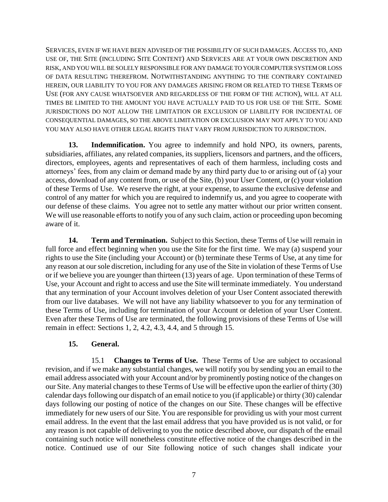SERVICES, EVEN IF WE HAVE BEEN ADVISED OF THE POSSIBILITY OF SUCH DAMAGES. ACCESS TO, AND USE OF, THE SITE (INCLUDING SITE CONTENT) AND SERVICES ARE AT YOUR OWN DISCRETION AND RISK, AND YOU WILL BE SOLELY RESPONSIBLE FOR ANY DAMAGE TO YOUR COMPUTER SYSTEM OR LOSS OF DATA RESULTING THEREFROM. NOTWITHSTANDING ANYTHING TO THE CONTRARY CONTAINED HEREIN, OUR LIABILITY TO YOU FOR ANY DAMAGES ARISING FROM OR RELATED TO THESE TERMS OF USE (FOR ANY CAUSE WHATSOEVER AND REGARDLESS OF THE FORM OF THE ACTION), WILL AT ALL TIMES BE LIMITED TO THE AMOUNT YOU HAVE ACTUALLY PAID TO US FOR USE OF THE SITE. SOME JURISDICTIONS DO NOT ALLOW THE LIMITATION OR EXCLUSION OF LIABILITY FOR INCIDENTAL OF CONSEQUENTIAL DAMAGES, SO THE ABOVE LIMITATION OR EXCLUSION MAY NOT APPLY TO YOU AND YOU MAY ALSO HAVE OTHER LEGAL RIGHTS THAT VARY FROM JURISDICTION TO JURISDICTION.

**13. Indemnification.** You agree to indemnify and hold NPO, its owners, parents, subsidiaries, affiliates, any related companies, its suppliers, licensors and partners, and the officers, directors, employees, agents and representatives of each of them harmless, including costs and attorneys' fees, from any claim or demand made by any third party due to or arising out of (a) your access, download of any content from, or use of the Site, (b) your User Content, or (c) your violation of these Terms of Use. We reserve the right, at your expense, to assume the exclusive defense and control of any matter for which you are required to indemnify us, and you agree to cooperate with our defense of these claims. You agree not to settle any matter without our prior written consent. We will use reasonable efforts to notify you of any such claim, action or proceeding upon becoming aware of it.

**14. Term and Termination.** Subject to this Section, these Terms of Use will remain in full force and effect beginning when you use the Site for the first time. We may (a) suspend your rights to use the Site (including your Account) or (b) terminate these Terms of Use, at any time for any reason at our sole discretion, including for any use of the Site in violation of these Terms of Use or if we believe you are younger than thirteen (13) years of age. Upon termination of these Terms of Use, your Account and right to access and use the Site will terminate immediately. You understand that any termination of your Account involves deletion of your User Content associated therewith from our live databases. We will not have any liability whatsoever to you for any termination of these Terms of Use, including for termination of your Account or deletion of your User Content. Even after these Terms of Use are terminated, the following provisions of these Terms of Use will remain in effect: Sections 1, 2, 4.2, 4.3, 4.4, and 5 through 15.

## **15. General.**

15.1 **Changes to Terms of Use.** These Terms of Use are subject to occasional revision, and if we make any substantial changes, we will notify you by sending you an email to the email address associated with your Account and/or by prominently posting notice of the changes on our Site. Any material changes to these Terms of Use will be effective upon the earlier of thirty (30) calendar days following our dispatch of an email notice to you (if applicable) or thirty (30) calendar days following our posting of notice of the changes on our Site. These changes will be effective immediately for new users of our Site. You are responsible for providing us with your most current email address. In the event that the last email address that you have provided us is not valid, or for any reason is not capable of delivering to you the notice described above, our dispatch of the email containing such notice will nonetheless constitute effective notice of the changes described in the notice. Continued use of our Site following notice of such changes shall indicate your